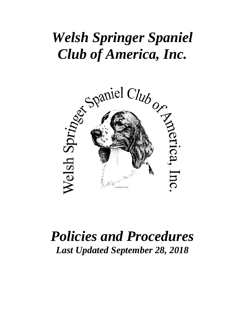# *Welsh Springer Spaniel*



# *Policies and Procedures Last Updated September 28, 2018*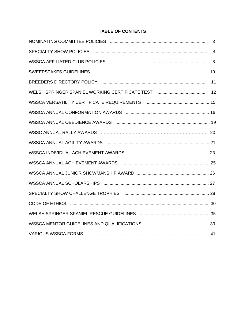#### **TABLE OF CONTENTS**

| $\overline{4}$ |
|----------------|
|                |
|                |
|                |
|                |
|                |
|                |
|                |
|                |
|                |
|                |
|                |
|                |
|                |
|                |
|                |
|                |
|                |
|                |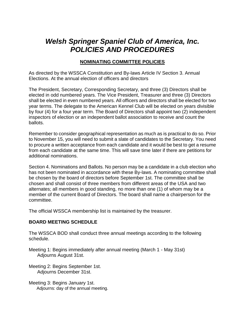# *Welsh Springer Spaniel Club of America, Inc. POLICIES AND PROCEDURES*

#### **NOMINATING COMMITTEE POLICIES**

As directed by the WSSCA Constitution and By-laws Article IV Section 3. Annual Elections. At the annual election of officers and directors

The President, Secretary, Corresponding Secretary, and three (3) Directors shall be elected in odd numbered years. The Vice President, Treasurer and three (3) Directors shall be elected in even numbered years. All officers and directors shall be elected for two year terms. The delegate to the American Kennel Club will be elected on years divisible by four (4) for a four year term. The Board of Directors shall appoint two (2) independent inspectors of election or an independent ballot association to receive and count the ballots.

Remember to consider geographical representation as much as is practical to do so. Prior to November 15, you will need to submit a slate of candidates to the Secretary. You need to procure a written acceptance from each candidate and it would be best to get a resume from each candidate at the same time. This will save time later if there are petitions for additional nominations.

Section 4. Nominations and Ballots. No person may be a candidate in a club election who has not been nominated in accordance with these By-laws. A nominating committee shall be chosen by the board of directors before September 1st. The committee shall be chosen and shall consist of three members from different areas of the USA and two alternates; all members in good standing, no more than one (1) of whom may be a member of the current Board of Directors. The board shall name a chairperson for the committee.

The official WSSCA membership list is maintained by the treasurer.

#### **BOARD MEETING SCHEDULE**

The WSSCA BOD shall conduct three annual meetings according to the following schedule.

Meeting 1: Begins immediately after annual meeting (March 1 - May 31st) Adjourns August 31st.

Meeting 2: Begins September 1st. Adjourns December 31st.

Meeting 3: Begins January 1st. Adjourns: day of the annual meeting.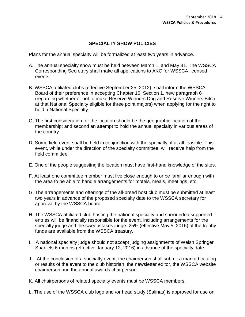#### **SPECIALTY SHOW POLICIES**

Plans for the annual specialty will be formalized at least two years in advance.

- A. The annual specialty show must be held between March 1, and May 31. The WSSCA Corresponding Secretary shall make all applications to AKC for WSSCA licensed events.
- B. WSSCA affiliated clubs (effective September 25, 2012), shall inform the WSSCA Board of their preference in accepting Chapter 16, Section 1, new paragraph 6 (regarding whether or not to make Reserve Winners Dog and Reserve Winners Bitch at that National Specialty eligible for three point majors) when applying for the right to hold a National Specialty
- C. The first consideration for the location should be the geographic location of the membership; and second an attempt to hold the annual specialty in various areas of the country.
- D. Some field event shall be held in conjunction with the specialty, if at all feasible. This event, while under the direction of the specialty committee, will receive help from the field committee.
- E. One of the people suggesting the location must have first-hand knowledge of the sites.
- F. At least one committee member must live close enough to or be familiar enough with the area to be able to handle arrangements for motels, meals, meetings, etc.
- G. The arrangements and offerings of the all-breed host club must be submitted at least two years in advance of the proposed specialty date to the WSSCA secretary for approval by the WSSCA board.
- H. The WSSCA affiliated club hosting the national specialty and surrounded supported entries will be financially responsible for the event, including arrangements for the specialty judge and the sweepstakes judge. 25% (effective May 5, 2016) of the trophy funds are available from the WSSCA treasury.
- I. A national specialty judge should not accept judging assignments of Welsh Springer Spaniels 6 months (effective January 12, 2016) in advance of the specialty date.
- J. At the conclusion of a specialty event, the chairperson shall submit a marked catalog or results of the event to the club historian, the newsletter editor, the WSSCA website chairperson and the annual awards chairperson.
- K. All chairpersons of related specialty events must be WSSCA members.
- L. The use of the WSSCA club logo and /or head study (Salinas) is approved for use on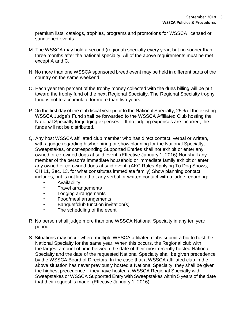premium lists, catalogs, trophies, programs and promotions for WSSCA licensed or sanctioned events.

- M. The WSSCA may hold a second (regional) specialty every year, but no sooner than three months after the national specialty. All of the above requirements must be met except A and C.
- N. No more than one WSSCA sponsored breed event may be held in different parts of the country on the same weekend.
- O. Each year ten percent of the trophy money collected with the dues billing will be put toward the trophy fund of the next Regional Specialty. The Regional Specialty trophy fund is not to accumulate for more than two years.
- P. On the first day of the club fiscal year prior to the National Specialty, 25% of the existing WSSCA Judge's Fund shall be forwarded to the WSSCA Affiliated Club hosting the National Specialty for judging expenses. If no judging expenses are incurred, the funds will not be distributed.
- Q. Any host WSSCA affiliated club member who has direct contact, verbal or written, with a judge regarding his/her hiring or show planning for the National Specialty, Sweepstakes, or corresponding Supported Entries shall not exhibit or enter any owned or co-owned dogs at said event. (Effective January 1, 2016) Nor shall any member of the person's immediate household or immediate family exhibit or enter any owned or co-owned dogs at said event. (AKC Rules Applying To Dog Shows, CH 11, Sec. 13. for what constitutes immediate family) Show planning contact includes, but is not limited to, any verbal or written contact with a judge regarding:
	- Availability
	- Travel arrangements
	- Lodging arrangements
	- Food/meal arrangements
	- Banquet/club function invitation(s)
	- The scheduling of the event
- R. No person shall judge more than one WSSCA National Specialty in any ten year period.
- S. Situations may occur where multiple WSSCA affiliated clubs submit a bid to host the National Specialty for the same year. When this occurs, the Regional club with the largest amount of time between the date of their most recently hosted National Specialty and the date of the requested National Specialty shall be given precedence by the WSSCA Board of Directors. In the case that a WSSCA affiliated club in the above situation has never previously hosted a National Specialty, they shall be given the highest precedence if they have hosted a WSSCA Regional Specialty with Sweepstakes or WSSCA Supported Entry with Sweepstakes within 5 years of the date that their request is made. (Effective January 1, 2016)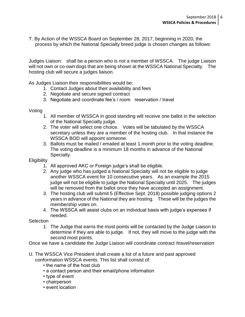T. By Action of the WSSCA Board on September 28, 2017, beginning in 2020, the process by which the National Specialty breed judge is chosen changes as follows:

Judges Liaison: shall be a person who is not a member of WSSCA. The judge Liaison will not own or co-own dogs that are being shown at the WSSCA National Specialty. The hosting club will secure a judges liaison.

As Judges Liaison their responsibilities would be:

- 1. Contact Judges about their availability and fees
- 2. Negotiate and secure signed contract
- 3. Negotiate and coordinate fee's / room reservation / travel

#### Voting

- 1. All member of WSSCA in good standing will receive one ballot in the selection of the National Specialty judge.
- 2. The voter will select one choice. Votes will be tabulated by the WSSCA secretary unless they are a member of the hosting club. In that instance the WSSCA BOD will appoint someone.
- 3. Ballots must be mailed / emailed at least 1 month prior to the voting deadline. The voting deadline is a minimum 18 months in advance of the National Specialty.

#### **Eligibility**

- 1. All approved AKC or Foreign judge's shall be eligible.
- 2. Any judge who has judged a National Specialty will not be eligible to judge another WSSCA event for 10 consecutive years. As an example the 2015 judge will not be eligible to judge the National Specialty until 2025. The judges will be removed from the ballot once they have accepted an assignment.
- 3. The hosting club will submit 5 (Effective Sept. 2018) possible judging options 2 years in advance of the National they are hosting. These will be the judges the membership votes on.
- 4. The WSSCA will assist clubs on an individual basis with judge's expenses if needed.
- **Selection** 
	- 1. The Judge that earns the most points will be contacted by the Judge Liaison to determine if they are able to judge. If not, they will move to the judge with the second most points.

Once we have a candidate the Judge Liaison will coordinate contract /travel/reservation

- U. The WSSCA Vice President shall create a list of a future and past approved conformation WSSCA events. This list shall consist of:
	- the name of the host club
	- a contact person and their email/phone information
	- type of event
	- chairperson
	- event location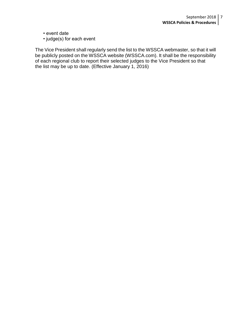- event date
- judge(s) for each event

 The Vice President shall regularly send the list to the WSSCA webmaster, so that it will be publicly posted on the WSSCA website (WSSCA.com). It shall be the responsibility of each regional club to report their selected judges to the Vice President so that the list may be up to date. (Effective January 1, 2016)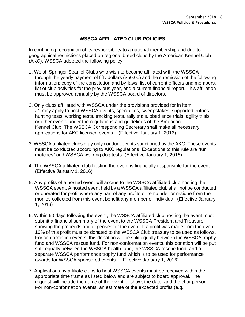#### **WSSCA AFFILIATED CLUB POLICIES**

In continuing recognition of its responsibility to a national membership and due to geographical restrictions placed on regional breed clubs by the American Kennel Club (AKC), WSSCA adopted the following policy:

- 1. Welsh Springer Spaniel Clubs who wish to become affiliated with the WSSCA through the yearly payment of fifty dollars (\$50.00) and the submission of the following information: copy of the constitution and by-laws, list of current officers and members, list of club activities for the previous year, and a current financial report. This affiliation must be approved annually by the WSSCA board of directors.
- 2. Only clubs affiliated with WSSCA under the provisions provided for in item #1 may apply to host WSSCA events, specialties, sweepstakes, supported entries, hunting tests, working tests, tracking tests, rally trials, obedience trials, agility trials or other events under the regulations and guidelines of the American Kennel Club. The WSSCA Corresponding Secretary shall make all necessary applications for AKC licensed events. (Effective January 1, 2016)
- 3. WSSCA affiliated clubs may only conduct events sanctioned by the AKC. These events must be conducted according to AKC regulations. Exceptions to this rule are "fun matches" and WSSCA working dog tests. (Effective January 1, 2016)
- 4. The WSSCA affiliated club hosting the event is financially responsible for the event. (Effective January 1, 2016)
- 5. Any profits of a hosted event will accrue to the WSSCA affiliated club hosting the WSSCA event. A hosted event held by a WSSCA affiliated club shall not be conducted or operated for profit where any part of any profits or remainder or residue from the monies collected from this event benefit any member or individual. (Effective January 1, 2016)
- 6. Within 60 days following the event, the WSSCA affiliated club hosting the event must submit a financial summary of the event to the WSSCA President and Treasurer showing the proceeds and expenses for the event. If a profit was made from the event, 10% of this profit must be donated to the WSSCA Club treasury to be used as follows. For conformation events, this donation will be split equally between the WSSCA trophy fund and WSSCA rescue fund. For non-conformation events, this donation will be put split equally between the WSSCA health fund, the WSSCA rescue fund, and a separate WSSCA performance trophy fund which is to be used for performance awards for WSSCA sponsored events. (Effective January 1, 2016)
- 7. Applications by affiliate clubs to host WSSCA events must be received within the appropriate time frame as listed below and are subject to board approval. The request will include the name of the event or show, the date, and the chairperson. For non-conformation events, an estimate of the expected profits (e.g.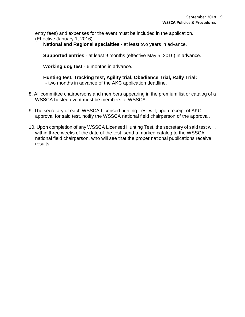entry fees) and expenses for the event must be included in the application. (Effective January 1, 2016)

**National and Regional specialties** - at least two years in advance.

**Supported entries** - at least 9 months (effective May 5, 2016) in advance.

**Working dog test** - 6 months in advance.

**Hunting test, Tracking test, Agility trial, Obedience Trial, Rally Trial:**  - two months in advance of the AKC application deadline.

- 8. All committee chairpersons and members appearing in the premium list or catalog of a WSSCA hosted event must be members of WSSCA.
- 9. The secretary of each WSSCA Licensed hunting Test will, upon receipt of AKC approval for said test, notify the WSSCA national field chairperson of the approval.
- 10. Upon completion of any WSSCA Licensed Hunting Test, the secretary of said test will, within three weeks of the date of the test, send a marked catalog to the WSSCA national field chairperson, who will see that the proper national publications receive results.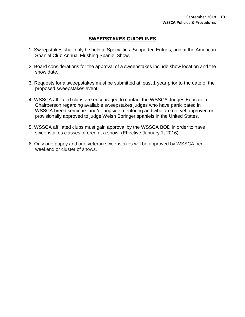#### **SWEEPSTAKES GUIDELINES**

- 1. Sweepstakes shall only be held at Specialties, Supported Entries, and at the American Spaniel Club Annual Flushing Spaniel Show.
- 2. Board considerations for the approval of a sweepstakes include show location and the show date.
- 3. Requests for a sweepstakes must be submitted at least 1 year prior to the date of the proposed sweepstakes event.
- 4. WSSCA affiliated clubs are encouraged to contact the WSSCA Judges Education Chairperson regarding available sweepstakes judges who have participated in WSSCA breed seminars and/or ringside mentoring and who are not yet approved or provisionally approved to judge Welsh Springer spaniels in the United States.
- 5. WSSCA affiliated clubs must gain approval by the WSSCA BOD in order to have sweepstakes classes offered at a show. (Effective January 1, 2016)
- 6. Only one puppy and one veteran sweepstakes will be approved by WSSCA per weekend or cluster of shows.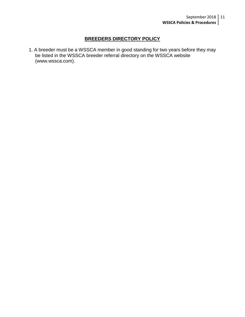#### **BREEDERS DIRECTORY POLICY**

1. A breeder must be a WSSCA member in good standing for two years before they may be listed in the WSSCA breeder referral directory on the WSSCA website (www.wssca.com).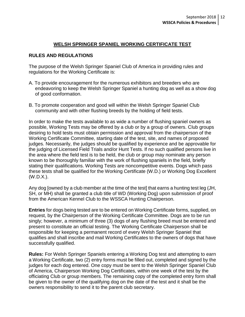#### **WELSH SPRINGER SPANIEL WORKING CERTIFICATE TEST**

#### **RULES AND REGULATIONS**

The purpose of the Welsh Springer Spaniel Club of America in providing rules and regulations for the Working Certificate is:

- A. To provide encouragement for the numerous exhibitors and breeders who are endeavoring to keep the Welsh Springer Spaniel a hunting dog as well as a show dog of good conformation.
- B. To promote cooperation and good will within the Welsh Springer Spaniel Club community and with other flushing breeds by the holding of field tests.

In order to make the tests available to as wide a number of flushing spaniel owners as possible, Working Tests may be offered by a club or by a group of owners. Club groups desiring to hold tests must obtain permission and approval from the chairperson of the Working Certificate Committee, starting date of the test, site, and names of proposed judges. Necessarily, the judges should be qualified by experience and be approvable for the judging of Licensed Field Trials and/or Hunt Tests. If no such qualified persons live in the area where the field test is to be held, the club or group may nominate any person known to be thoroughly familiar with the work of flushing spaniels in the field, briefly stating their qualifications. Working Tests are noncompetitive events. Dogs which pass these tests shall be qualified for the Working Certificate (W.D.) or Working Dog Excellent (W.D.X.).

Any dog [owned by a club member at the time of the test] that earns a hunting test leg (JH, SH, or MH) shall be granted a club title of WD (Working Dog) upon submission of proof from the American Kennel Club to the WSSCA Hunting Chairperson.

**Entries** for dogs being tested are to be entered on Working Certificate forms, supplied, on request, by the Chairperson of the Working Certificate Committee. Dogs are to be run singly; however, a minimum of three (3) dogs of any flushing breed must be entered and present to constitute an official testing. The Working Certificate Chairperson shall be responsible for keeping a permanent record of every Welsh Springer Spaniel that qualifies and shall inscribe and mail Working Certificates to the owners of dogs that have successfully qualified.

**Rules:** For Welsh Springer Spaniels entering a Working Dog test and attempting to earn a Working Certificate, two (2) entry forms must be filled out, completed and signed by the judges for each dog entered. One copy must be sent to the Welsh Springer Spaniel Club of America, Chairperson Working Dog Certificates, within one week of the test by the officiating Club or group members. The remaining copy of the completed entry form shall be given to the owner of the qualifying dog on the date of the test and it shall be the owners responsibility to send it to the parent club secretary.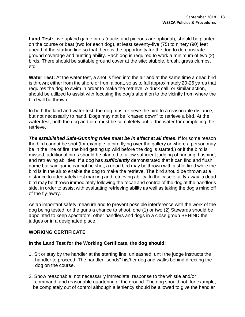**Land Test:** Live upland game birds (ducks and pigeons are optional), should be planted on the course or beat (two for each dog), at least seventy-five (75) to ninety (90) feet ahead of the starting line so that there is the opportunity for the dog to demonstrate ground coverage and hunting ability. Each dog is required to work a minimum of two (2) birds. There should be suitable ground cover at the site; stubble, brush, grass clumps, etc.

**Water Test:** At the water test, a shot is fired into the air and at the same time a dead bird is thrown; either from the shore or from a boat, so as to fall approximately 20-25 yards that requires the dog to swim in order to make the retrieve. A duck call, or similar action, should be utilized to assist with focusing the dog's attention to the vicinity from where the bird will be thrown.

In both the land and water test, the dog must retrieve the bird to a reasonable distance, but not necessarily to hand. Dogs may not be "chased down" to retrieve a bird. At the water test, both the dog and bird must be completely out of the water for completing the retrieve.

**The established Safe-Gunning rules must be in effect at all times.** If for some reason the bird cannot be shot (for example, a bird flying over the gallery or where a person may be in the line of fire, the bird getting up wild before the dog is started,) or if the bird is missed, additional birds should be planted to allow sufficient judging of hunting, flushing, and retrieving abilities. If a dog has *sufficiently* demonstrated that it can find and flush game but said game cannot be shot, a dead bird may be thrown with a shot fired while the bird is in the air to enable the dog to make the retrieve. The bird should be thrown at a distance to adequately test marking and retrieving ability. In the case of a fly-away, a dead bird may be thrown immediately following the recall and control of the dog at the handler's side, in order to assist with evaluating retrieving ability as well as taking the dog's mind off of the fly-away.

As an important safety measure and to prevent possible interference with the work of the dog being tested, or the guns a chance to shoot, one (1) or two (2) Stewards should be appointed to keep spectators, other handlers and dogs in a close group BEHIND the judges or in a designated place.

#### **WORKING CERTIFICATE**

#### **In the Land Test for the Working Certificate, the dog should:**

- 1. Sit or stay by the handler at the starting line, unleashed, until the judge instructs the handler to proceed. The handler "sends" his/her dog and walks behind directing the dog on the course.
- 2. Show reasonable, not necessarily immediate, response to the whistle and/or command, and reasonable quartering of the ground. The dog should not, for example, be completely out of control although a leniency should be allowed to give the handler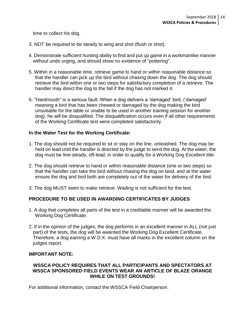time to collect his dog.

- 3. NOT be required to be steady to wing and shot (flush or shot).
- 4. Demonstrate sufficient hunting ability to find and put up game in a workmanlike manner without undo urging, and should show no evidence of "pottering".
- 5. Within in a reasonable time, retrieve game to hand or within reasonable distance so that the handler can pick up the bird without chasing down the dog. The dog should retrieve the bird within one or two steps for satisfactory completion of a retrieve. The handler may direct the dog to the fall if the dog has not marked it.
- 6. "Hardmouth" is a serious fault. When a dog delivers a 'damaged' bird, ('damaged' meaning a bird that has been chewed or damaged by the dog making the bird unsuitable for the table or unable to be used in another training session for another dog), he will be disqualified. The disqualification occurs even if all other requirements of the Working Certificate test were completed satisfactorily.

#### **In the Water Test for the Working Certificate:**

- 1. The dog should not be required to sit or stay on the line, unleashed. The dog may be held on lead until the handler is directed by the judge to send the dog. At the water, the dog must be line-steady, off-lead, in order to qualify for a Working Dog Excellent title.
- 2. The dog should retrieve to hand or within reasonable distance (one or two steps) so that the handler can take the bird without chasing the dog on land, and at the water ensure the dog and bird both are completely out of the water for delivery of the bird.
- 3. The dog MUST swim to make retrieve. Wading is not sufficient for the test.

#### **PROCEDURE TO BE USED IN AWARDING CERTIFICATES BY JUDGES**

- 1. A dog that completes all parts of the test in a creditable manner will be awarded the Working Dog Certificate.
- 2. If in the opinion of the judges, the dog performs in an excellent manner in ALL (not just part) of the tests, the dog will be awarded the Working Dog Excellent Certificate. Therefore, a dog earning a W.D.X. must have all marks in the excellent column on the judges report.

#### **IMPORTANT NOTE:**

#### **WSSCA POLICY REQUIRES THAT ALL PARTICIPANTS AND SPECTATORS AT WSSCA SPONSORED FIELD EVENTS WEAR AN ARTICLE OF BLAZE ORANGE WHILE ON TEST GROUNDS!**

For additional information, contact the WSSCA Field Chairperson.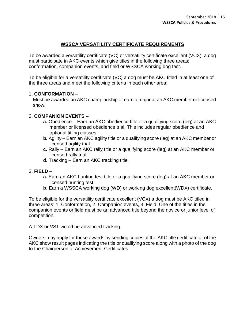#### **WSSCA VERSATILITY CERTIFICATE REQUIREMENTS**

To be awarded a versatility certificate (VC) or versatility certificate excellent (VCX), a dog must participate in AKC events which give titles in the following three areas: conformation, companion events, and field or WSSCA working dog test.

To be eligible for a versatility certificate (VC) a dog must be AKC titled in at least one of the three areas and meet the following criteria in each other area:

#### 1. **CONFORMATION** –

 Must be awarded an AKC championship or earn a major at an AKC member or licensed show.

#### 2. **COMPANION EVENTS** –

- **a.** Obedience Earn an AKC obedience title or a qualifying score (leg) at an AKC member or licensed obedience trial. This includes regular obedience and optional titling classes.
- **b.** Agility Earn an AKC agility title or a qualifying score (leg) at an AKC member or licensed agility trial.
- **c.** Rally Earn an AKC rally title or a qualifying score (leg) at an AKC member or licensed rally trial.
- **d.** Tracking Earn an AKC tracking title.

#### 3. **FIELD** –

- **a.** Earn an AKC hunting test title or a qualifying score (leg) at an AKC member or licensed hunting test.
- **b**. Earn a WSSCA working dog (WD) or working dog excellent(WDX) certificate.

To be eligible for the versatility certificate excellent (VCX) a dog must be AKC titled in three areas: 1. Conformation, 2. Companion events, 3. Field. One of the titles in the companion events or field must be an advanced title beyond the novice or junior level of competition.

A TDX or VST would be advanced tracking.

Owners may apply for these awards by sending copies of the AKC title certificate or of the AKC show result pages indicating the title or qualifying score along with a photo of the dog to the Chairperson of Achievement Certificates.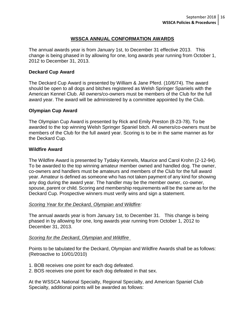#### **WSSCA ANNUAL CONFORMATION AWARDS**

The annual awards year is from January 1st, to December 31 effective 2013. This change is being phased in by allowing for one, long awards year running from October 1, 2012 to December 31, 2013.

#### **Deckard Cup Award**

The Deckard Cup Award is presented by William & Jane Pferd. (10/6/74). The award should be open to all dogs and bitches registered as Welsh Springer Spaniels with the American Kennel Club. All owners/co-owners must be members of the Club for the full award year. The award will be administered by a committee appointed by the Club.

#### **Olympian Cup Award**

The Olympian Cup Award is presented by Rick and Emily Preston (8-23-78). To be awarded to the top winning Welsh Springer Spaniel bitch. All owners/co-owners must be members of the Club for the full award year. Scoring is to be in the same manner as for the Deckard Cup.

#### **Wildfire Award**

The Wildfire Award is presented by Tydaky Kennels, Maurice and Carol Krohn (2-12-94). To be awarded to the top winning amateur member owned and handled dog. The owner, co-owners and handlers must be amateurs and members of the Club for the full award year. Amateur is defined as someone who has not taken payment of any kind for showing any dog during the award year. The handler may be the member owner, co-owner, spouse, parent or child. Scoring and membership requirements will be the same as for the Deckard Cup. Prospective winners must verify wins and sign a statement.

#### *Scoring Year for the Deckard, Olympian and Wildfire:*

The annual awards year is from January 1st, to December 31. This change is being phased in by allowing for one, long awards year running from October 1, 2012 to December 31, 2013.

#### *Scoring for the Deckard, Olympian and Wildfire*

Points to be tabulated for the Deckard, Olympian and Wildfire Awards shall be as follows: (Retroactive to 10/01/2010)

1. BOB receives one point for each dog defeated.

2. BOS receives one point for each dog defeated in that sex.

At the WSSCA National Specialty, Regional Specialty, and American Spaniel Club Specialty, additional points will be awarded as follows: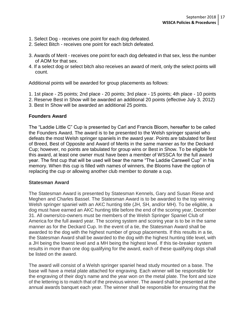- 1. Select Dog receives one point for each dog defeated.
- 2. Select Bitch receives one point for each bitch defeated.
- 3. Awards of Merit receives one point for each dog defeated in that sex, less the number of AOM for that sex.
- 4. If a select dog or select bitch also receives an award of merit, only the select points will count.

Additional points will be awarded for group placements as follows:

- 1. 1st place 25 points; 2nd place 20 points; 3rd place 15 points; 4th place 10 points
- 2. Reserve Best in Show will be awarded an additional 20 points (effective July 3, 2012)
- 3. Best In Show will be awarded an additional 25 points.

#### **Founders Award**

The "Laddie Little C" Cup is presented by Carl and Francis Bloom, hereafter to be called the Founders Award. The award is to be presented to the Welsh springer spaniel who defeats the most Welsh springer spaniels in the award year. Points are tabulated for Best of Breed, Best of Opposite and Award of Merits in the same manner as for the Deckard Cup; however, no points are tabulated for group wins or Best in Show. To be eligible for this award, at least one owner must have been a member of WSSCA for the full award year. The first cup that will be used will bear the name "The Laddie Carswell Cup" in his memory. When this cup is filled with names of winners, the Blooms have the option of replacing the cup or allowing another club member to donate a cup.

#### **Statesman Award**

The Statesman Award is presented by Statesman Kennels, Gary and Susan Riese and Meghen and Charles Bassel. The Statesman Award is to be awarded to the top winning Welsh springer spaniel with an AKC hunting title (JH, SH, and/or MH). To be eligible, a dog must have earned an AKC hunting title before the end of the scoring year, December 31. All owners/co-owners must be members of the Welsh Springer Spaniel Club of America for the full award year. The scoring system and scoring year is to be in the same manner as for the Deckard Cup. In the event of a tie, the Statesman Award shall be awarded to the dog with the highest number of group placements. If this results in a tie, the Statesman Award shall be awarded to the dog with the highest hunting title level, with a JH being the lowest level and a MH being the highest level. If this tie-breaker system results in more than one dog qualifying for the award, each of these qualifying dogs shall be listed on the award.

The award will consist of a Welsh springer spaniel head study mounted on a base. The base will have a metal plate attached for engraving. Each winner will be responsible for the engraving of their dog's name and the year won on the metal plate. The font and size of the lettering is to match that of the previous winner. The award shall be presented at the annual awards banquet each year. The winner shall be responsible for ensuring that the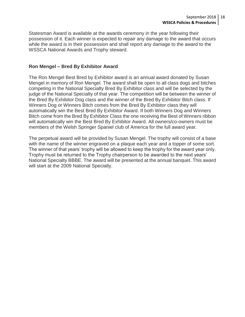Statesman Award is available at the awards ceremony in the year following their possession of it. Each winner is expected to repair any damage to the award that occurs while the award is in their possession and shall report any damage to the award to the WSSCA National Awards and Trophy steward.

#### **Ron Mengel – Bred By Exhibitor Award**

The Ron Mengel Best Bred by Exhibitor award is an annual award donated by Susan Mengel in memory of Ron Mengel. The award shall be open to all class dogs and bitches competing in the National Specialty Bred By Exhibitor class and will be selected by the judge of the National Specialty of that year. The competition will be between the winner of the Bred By Exhibitor Dog class and the winner of the Bred By Exhibitor Bitch class. If Winners Dog or Winners Bitch comes from the Bred By Exhibitor class they will automatically win the Best Bred By Exhibitor Award. If both Winners Dog and Winners Bitch come from the Bred By Exhibitor Class the one receiving the Best of Winners ribbon will automatically win the Best Bred By Exhibitor Award. All owners/co-owners must be members of the Welsh Springer Spaniel club of America for the full award year.

The perpetual award will be provided by Susan Mengel. The trophy will consist of a base with the name of the winner engraved on a plaque each year and a topper of some sort. The winner of that years' trophy will be allowed to keep the trophy for the award year only. Trophy must be returned to the Trophy chairperson to be awarded to the next years' National Specialty BBBE. The award will be presented at the annual banquet. This award will start at the 2009 National Specialty.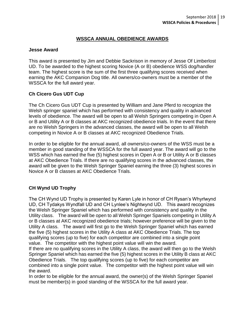#### **WSSCA ANNUAL OBEDIENCE AWARDS**

#### **Jesse Award**

This award is presented by Jim and Debbie Sackrison in memory of Jesse Of Limberlost UD. To be awarded to the highest scoring Novice (A or B) obedience WSS dog/handler team. The highest score is the sum of the first three qualifying scores received when earning the AKC Companion Dog title. All owners/co-owners must be a member of the WSSCA for the full award year.

#### **Ch Cicero Gus UDT Cup**

The Ch Cicero Gus UDT Cup is presented by William and Jane Pferd to recognize the Welsh springer spaniel which has performed with consistency and quality in advanced levels of obedience. The award will be open to all Welsh Springers competing in Open A or B and Utility A or B classes at AKC recognized obedience trials. In the event that there are no Welsh Springers in the advanced classes, the award will be open to all Welsh competing in Novice A or B classes at AKC recognized Obedience Trials.

In order to be eligible for the annual award, all owners/co-owners of the WSS must be a member in good standing of the WSSCA for the full award year. The award will go to the WSS which has earned the five (5) highest scores in Open A or B or Utility A or B classes at AKC Obedience Trials. If there are no qualifying scores in the advanced classes, the award will be given to the Welsh Springer Spaniel earning the three (3) highest scores in Novice A or B classes at AKC Obedience Trials.

#### **CH Wynd UD Trophy**

The CH Wynd UD Trophy is presented by Karen Lyle in honor of CH Rysan's Whyrlwynd UD, CH Tydakys Wyndfall UD and CH Lynlee's Nightwynd UD. This award recognizes the Welsh Springer Spaniel which has performed with consistency and quality in the Utility class. The award will be open to all Welsh Springer Spaniels competing in Utility A or B classes at AKC recognized obedience trials; however preference will be given to the Utility A class. The award will first go to the Welsh Springer Spaniel which has earned the five (5) highest scores in the Utility A class at AKC Obedience Trials. The top qualifying scores (up to five) for each competitor are combined into a single point value. The competitor with the highest point value will win the award.

If there are no qualifying scores in the Utility A class, the award will then go to the Welsh Springer Spaniel which has earned the five (5) highest scores in the Utility B class at AKC Obedience Trials. The top qualifying scores (up to five) for each competitor are combined into a single point value. The competitor with the highest point value will win the award.

In order to be eligible for the annual award, the owner(s) of the Welsh Springer Spaniel must be member(s) in good standing of the WSSCA for the full award year.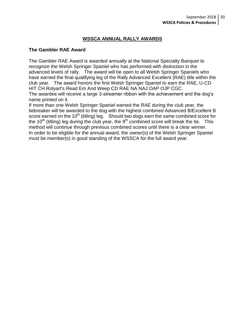#### **WSSCA ANNUAL RALLY AWARDS**

#### **The Gambler RAE Award**

The Gambler RAE Award is awarded annually at the National Specialty Banquet to recognize the Welsh Springer Spaniel who has performed with distinction in the advanced levels of rally. The award will be open to all Welsh Springer Spaniels who have earned the final qualifying leg of the Rally Advanced Excellent (RAE) title within the club year. The award honors the first Welsh Springer Spaniel to earn the RAE, U-CD HIT CH Rolyart's Read Em And Weep CD RAE NA NAJ OAP OJP CGC. The awardee will receive a large 3-streamer ribbon with the achievement and the dog's name printed on it.

If more than one Welsh Springer Spaniel earned the RAE during the club year, the tiebreaker will be awarded to the dog with the highest combined Advanced B/Excellent B score earned on the 10<sup>th</sup> (titling) leg. Should two dogs earn the same combined score for the 10<sup>th</sup> (titling) leg during the club year, the 9<sup>th</sup> combined score will break the tie. This method will continue through previous combined scores until there is a clear winner. In order to be eligible for the annual award, the owner(s) of the Welsh Springer Spaniel must be member(s) in good standing of the WSSCA for the full award year.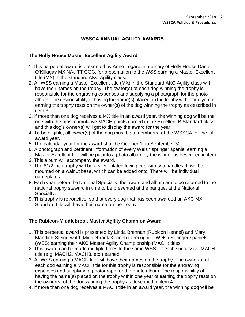#### **WSSCA ANNUAL AGILITY AWARDS**

#### **The Holly House Master Excellent Agility Award**

- 1.This perpetual award is presented by Anne Legare in memory of Holly House Daniel O'Killagay MX NAJ TT CGC, for presentation to the WSS earning a Master Excellent title (MX) in the standard AKC Agility class.
- 2. All WSS earning a Master Excellent title (MX) in the Standard AKC Agility class will have their names on the trophy. The owner(s) of each dog winning the trophy is responsible for the engraving expenses and supplying a photograph for the photo album. The responsibility of having the name(s) placed on the trophy within one year of earning the trophy rests on the owner(s) of the dog winning the trophy as described in item 3.
- 3. If more than one dog receives a MX title in an award year, the winning dog will be the one with the most cumulative MACH points earned in the Excellent B Standard class and this dog's owner(s) will get to display the award for the year.
- 4. To be eligible, all owner(s) of the dog must be a member(s) of the WSSCA for the full award year.
- 5. The calendar year for the award shall be October 1, to September 30.
- 6. A photograph and pertinent information of every Welsh springer spaniel earning a Master Excellent title will be put into a photo album by the winner as described in item
- 3. This album will accompany the award.
- 7. The 81/2 inch trophy will be a silver plated loving cup with two handles. It will be mounted on a walnut base, which can be added onto. There will be individual nameplates.
- 8. Each year before the National Specialty, the award and album are to be returned to the national trophy steward in time to be presented at the banquet at the National Specialty.
- 9. This trophy is retroactive, so that every dog that has been awarded an AKC MX Standard title will have their name on the trophy.

#### **The Rubicon-Middlebrook Master Agility Champion Award**

- 1. This perpetual award is presented by Linda Brennan (Rubicon Kennel) and Mary Mandich-Steigerwald (Middlebrook Kennel) to recognize Welsh Springer spaniels (WSS) earning their AKC Master Agility Championship (MACH) titles.
- 2. This award can be made multiple times to the same WSS for each successive MACH title (e.g. MACH2, MACH3, etc.) earned.
- 3. All WSS earning a MACH title will have their names on the trophy. The owner(s) of each dog earning a MACH title for this trophy is responsible for the engraving expenses and supplying a photograph for the photo album. The responsibility of having the name(s) placed on the trophy within one year of earning the trophy rests on the owner(s) of the dog winning the trophy as described in item 4.
- 4. If more than one dog receives a MACH title in an award year, the winning dog will be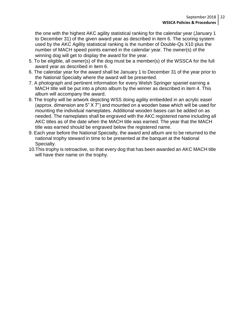the one with the highest AKC agility statistical ranking for the calendar year (January 1 to December 31) of the given award year as described in item 6. The scoring system used by the AKC Agility statistical ranking is the number of Double-Qs X10 plus the number of MACH speed points earned in the calendar year. The owner(s) of the winning dog will get to display the award for the year.

- 5. To be eligible, all owner(s) of the dog must be a member(s) of the WSSCA for the full award year as described in item 6.
- 6. The calendar year for the award shall be January 1 to December 31 of the year prior to the National Specialty where the award will be presented.
- 7. A photograph and pertinent information for every Welsh Springer spaniel earning a MACH title will be put into a photo album by the winner as described in item 4. This album will accompany the award.
- 8. The trophy will be artwork depicting WSS doing agility embedded in an acrylic easel (approx. dimension are 5" X 7") and mounted on a wooden base which will be used for mounting the individual nameplates. Additional wooden bases can be added on as needed. The nameplates shall be engraved with the AKC registered name including all AKC titles as of the date when the MACH title was earned. The year that the MACH title was earned should be engraved below the registered name.
- 9. Each year before the National Specialty, the award and album are to be returned to the national trophy steward in time to be presented at the banquet at the National Specialty.
- 10.This trophy is retroactive, so that every dog that has been awarded an AKC MACH title will have their name on the trophy.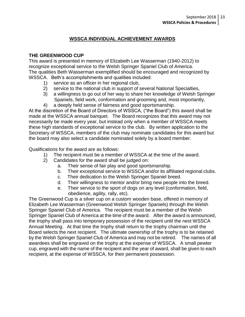#### **WSSCA INDIVIDUAL ACHIEVEMENT AWARDS**

#### **THE GREENWOOD CUP**

This award is presented in memory of Elizabeth Lee Wasserman (1940-2012) to recognize exceptional service to the Welsh Springer Spaniel Club of America. The qualities Beth Wasserman exemplified should be encouraged and recognized by WSSCA. Beth's accomplishments and qualities included:

- 1) service as an officer in her regional club,
- 2) service to the national club in support of several National Specialties,
- 3) a willingness to go out of her way to share her knowledge of Welsh Springer Spaniels, field work, conformation and grooming and, most importantly,
- 4) a deeply held sense of fairness and good sportsmanship.

At the discretion of the Board of Directors of WSSCA, ("the Board") this award shall be made at the WSSCA annual banquet. The Board recognizes that this award may not necessarily be made every year, but instead only when a member of WSSCA meets these high standards of exceptional service to the club. By written application to the Secretary of WSSCA, members of the club may nominate candidates for this award but the board may also select a candidate nominated solely by a board member.

Qualifications for the award are as follows:

- 1) The recipient must be a member of WSSCA at the time of the award.
- 2) Candidates for the award shall be judged on:
	- a. Their sense of fair play and good sportsmanship.
	- b. Their exceptional service to WSSCA and/or its affiliated regional clubs.
	- c. Their dedication to the Welsh Springer Spaniel breed.
	- d. Their willingness to mentor and/or bring new people into the breed.
	- e. Their service to the sport of dogs on any level (conformation, field, obedience, agility, rally, etc).

The Greenwood Cup is a silver cup on a custom wooden base, offered in memory of Elizabeth Lee Wasserman (Greenwood Welsh Springer Spaniels) through the Welsh Springer Spaniel Club of America. The recipient must be a member of the Welsh Springer Spaniel Club of America at the time of the award. After the award is announced, the trophy shall pass into temporary possession of the recipient until the next WSSCA Annual Meeting. At that time the trophy shall return to the trophy chairman until the Board selects the next recipient. The ultimate ownership of the trophy is to be retained by the Welsh Springer Spaniel Club of America and may not be retired. The names of all awardees shall be engraved on the trophy at the expense of WSSCA. A small pewter cup, engraved with the name of the recipient and the year of award, shall be given to each recipient, at the expense of WSSCA, for their permanent possession.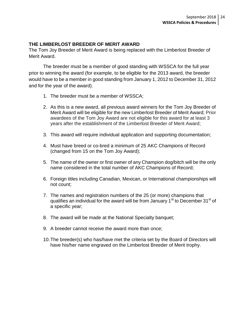#### **THE LIMBERLOST BREEDER OF MERIT AWARD**

The Tom Joy Breeder of Merit Award is being replaced with the Limberlost Breeder of Merit Award.

The breeder must be a member of good standing with WSSCA for the full year prior to winning the award (for example, to be eligible for the 2013 award, the breeder would have to be a member in good standing from January 1, 2012 to December 31, 2012 and for the year of the award).

- 1. The breeder must be a member of WSSCA;
- 2. As this is a new award, all previous award winners for the Tom Joy Breeder of Merit Award will be eligible for the new Limberlost Breeder of Merit Award; Prior awardees of the Tom Joy Award are not eligible for this award for at least 3 years after the establishment of the Limberlost Breeder of Merit Award;
- 3. This award will require individual application and supporting documentation;
- 4. Must have breed or co-bred a minimum of 25 AKC Champions of Record (changed from 15 on the Tom Joy Award);
- 5. The name of the owner or first owner of any Champion dog/bitch will be the only name considered in the total number of AKC Champions of Record;
- 6. Foreign titles including Canadian, Mexican, or International championships will not count;
- 7. The names and registration numbers of the 25 (or more) champions that qualifies an individual for the award will be from January  $1<sup>st</sup>$  to December  $31<sup>st</sup>$  of a specific year;
- 8. The award will be made at the National Specialty banquet;
- 9. A breeder cannot receive the award more than once;
- 10.The breeder(s) who has/have met the criteria set by the Board of Directors will have his/her name engraved on the Limberlost Breeder of Merit trophy.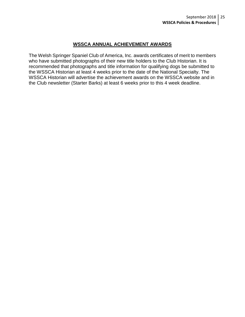#### **WSSCA ANNUAL ACHIEVEMENT AWARDS**

The Welsh Springer Spaniel Club of America, Inc. awards certificates of merit to members who have submitted photographs of their new title holders to the Club Historian. It is recommended that photographs and title information for qualifying dogs be submitted to the WSSCA Historian at least 4 weeks prior to the date of the National Specialty. The WSSCA Historian will advertise the achievement awards on the WSSCA website and in the Club newsletter (Starter Barks) at least 6 weeks prior to this 4 week deadline.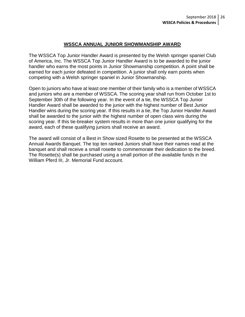#### **WSSCA ANNUAL JUNIOR SHOWMANSHIP AWARD**

The WSSCA Top Junior Handler Award is presented by the Welsh springer spaniel Club of America, Inc. The WSSCA Top Junior Handler Award is to be awarded to the junior handler who earns the most points in Junior Showmanship competition. A point shall be earned for each junior defeated in competition. A junior shall only earn points when competing with a Welsh springer spaniel in Junior Showmanship.

Open to juniors who have at least one member of their family who is a member of WSSCA and juniors who are a member of WSSCA. The scoring year shall run from October 1st to September 30th of the following year. In the event of a tie, the WSSCA Top Junior Handler Award shall be awarded to the junior with the highest number of Best Junior Handler wins during the scoring year. If this results in a tie, the Top Junior Handler Award shall be awarded to the junior with the highest number of open class wins during the scoring year. If this tie-breaker system results in more than one junior qualifying for the award, each of these qualifying juniors shall receive an award.

The award will consist of a Best in Show sized Rosette to be presented at the WSSCA Annual Awards Banquet. The top ten ranked Juniors shall have their names read at the banquet and shall receive a small rosette to commemorate their dedication to the breed. The Rosette(s) shall be purchased using a small portion of the available funds in the William Pferd III, Jr. Memorial Fund account.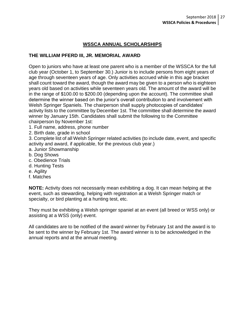#### **WSSCA ANNUAL SCHOLARSHIPS**

#### **THE WILLIAM PFERD III, JR. MEMORIAL AWARD**

Open to juniors who have at least one parent who is a member of the WSSCA for the full club year (October 1, to September 30.) Junior is to include persons from eight years of age through seventeen years of age. Only activities accrued while in this age bracket shall count toward the award, though the award may be given to a person who is eighteen years old based on activities while seventeen years old. The amount of the award will be in the range of \$100.00 to \$200.00 (depending upon the account). The committee shall determine the winner based on the junior's overall contribution to and involvement with Welsh Springer Spaniels. The chairperson shall supply photocopies of candidates' activity lists to the committee by December 1st. The committee shall determine the award winner by January 15th. Candidates shall submit the following to the Committee chairperson by November 1st:

- 1. Full name, address, phone number
- 2. Birth date, grade in school

3. Complete list of all Welsh Springer related activities (to include date, event, and specific activity and award, if applicable, for the previous club year.)

- a. Junior Showmanship
- b. Dog Shows
- c. Obedience Trials
- d. Hunting Tests
- e. Agility
- f. Matches

**NOTE:** Activity does not necessarily mean exhibiting a dog. It can mean helping at the event, such as stewarding, helping with registration at a Welsh Springer match or specialty, or bird planting at a hunting test, etc.

They must be exhibiting a Welsh springer spaniel at an event (all breed or WSS only) or assisting at a WSS (only) event.

All candidates are to be notified of the award winner by February 1st and the award is to be sent to the winner by February 1st. The award winner is to be acknowledged in the annual reports and at the annual meeting.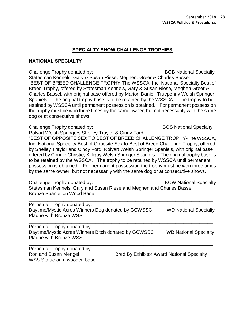#### **SPECIALTY SHOW CHALLENGE TROPHIES**

#### **NATIONAL SPECIALTY**

Challenge Trophy donated by: BOB National Specialty Statesman Kennels, Gary & Susan Riese, Meghen, Greer & Charles Bassel "BEST OF BREED CHALLENGE TROPHY-The WSSCA, Inc. National Specialty Best of Breed Trophy, offered by Statesman Kennels, Gary & Susan Riese, Meghen Greer & Charles Bassel, with original base offered by Marion Daniel, Truepenny Welsh Springer Spaniels. The original trophy base is to be retained by the WSSCA. The trophy to be retained by WSSCA until permanent possession is obtained. For permanent possession the trophy must be won three times by the same owner, but not necessarily with the same dog or at consecutive shows. \_\_\_\_\_\_\_\_\_\_\_\_\_\_\_\_\_\_\_\_\_\_\_\_\_\_\_\_\_\_\_\_\_\_\_\_\_\_\_\_\_\_\_\_\_\_\_\_\_\_\_\_\_\_\_\_\_\_\_\_\_\_\_\_\_\_\_\_\_

Challenge Trophy donated by: Ghallenge Trophy donated by: BOS National Specialty

Rolyart Welsh Springers Shelley Traylor & Cindy Ford

"BEST OF OPPOSITE SEX TO BEST OF BREED CHALLENGE TROPHY-The WSSCA, Inc. National Specialty Best of Opposite Sex to Best of Breed Challenge Trophy, offered by Shelley Traylor and Cindy Ford, Rolyart Welsh Springer Spaniels, with original base offered by Connie Christie, Killigay Welsh Springer Spaniels. The original trophy base is to be retained by the WSSCA. The trophy to be retained by WSSCA until permanent possession is obtained. For permanent possession the trophy must be won three times by the same owner, but not necessarily with the same dog or at consecutive shows.

Challenge Trophy donated by: Ghallenge Trophy donated by: BOW National Specialty Statesman Kennels, Gary and Susan Riese and Meghen and Charles Bassel Bronze Spaniel on Wood Base

\_\_\_\_\_\_\_\_\_\_\_\_\_\_\_\_\_\_\_\_\_\_\_\_\_\_\_\_\_\_\_\_\_\_\_\_\_\_\_\_\_\_\_\_\_\_\_\_\_\_\_\_\_\_\_\_\_\_\_\_\_\_\_\_\_\_\_\_\_

| Perpetual Trophy donated by:<br>Daytime/Mystic Acres Winners Dog donated by GCWSSC<br>Plaque with Bronze WSS   | <b>WD National Specialty</b> |
|----------------------------------------------------------------------------------------------------------------|------------------------------|
| Perpetual Trophy donated by:<br>Daytime/Mystic Acres Winners Bitch donated by GCWSSC<br>Plaque with Bronze WSS | <b>WB National Specialty</b> |

| Perpetual Trophy donated by: |                                                   |
|------------------------------|---------------------------------------------------|
| Ron and Susan Mengel         | <b>Bred By Exhibitor Award National Specialty</b> |
| WSS Statue on a wooden base  |                                                   |

\_\_\_\_\_\_\_\_\_\_\_\_\_\_\_\_\_\_\_\_\_\_\_\_\_\_\_\_\_\_\_\_\_\_\_\_\_\_\_\_\_\_\_\_\_\_\_\_\_\_\_\_\_\_\_\_\_\_\_\_\_\_\_\_\_\_\_\_\_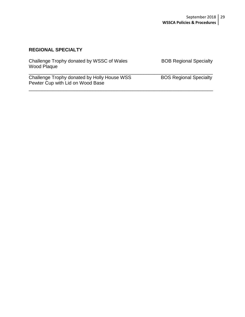#### **REGIONAL SPECIALTY**

| Challenge Trophy donated by WSSC of Wales<br>Wood Plaque                        | <b>BOB Regional Specialty</b> |
|---------------------------------------------------------------------------------|-------------------------------|
| Challenge Trophy donated by Holly House WSS<br>Pewter Cup with Lid on Wood Base | <b>BOS Regional Specialty</b> |

\_\_\_\_\_\_\_\_\_\_\_\_\_\_\_\_\_\_\_\_\_\_\_\_\_\_\_\_\_\_\_\_\_\_\_\_\_\_\_\_\_\_\_\_\_\_\_\_\_\_\_\_\_\_\_\_\_\_\_\_\_\_\_\_\_\_\_\_\_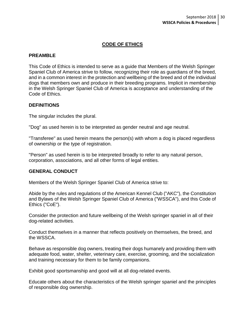#### **CODE OF ETHICS**

#### **PREAMBLE**

This Code of Ethics is intended to serve as a guide that Members of the Welsh Springer Spaniel Club of America strive to follow, recognizing their role as guardians of the breed, and in a common interest in the protection and wellbeing of the breed and of the individual dogs that members own and produce in their breeding programs. Implicit in membership in the Welsh Springer Spaniel Club of America is acceptance and understanding of the Code of Ethics.

#### **DEFINITIONS**

The singular includes the plural.

"Dog" as used herein is to be interpreted as gender neutral and age neutral.

"Transferee" as used herein means the person(s) with whom a dog is placed regardless of ownership or the type of registration.

"Person" as used herein is to be interpreted broadly to refer to any natural person, corporation, associations, and all other forms of legal entities.

#### **GENERAL CONDUCT**

Members of the Welsh Springer Spaniel Club of America strive to:

Abide by the rules and regulations of the American Kennel Club ("AKC"), the Constitution and Bylaws of the Welsh Springer Spaniel Club of America ("WSSCA"), and this Code of Ethics ("CoE").

Consider the protection and future wellbeing of the Welsh springer spaniel in all of their dog-related activities.

Conduct themselves in a manner that reflects positively on themselves, the breed, and the WSSCA.

Behave as responsible dog owners, treating their dogs humanely and providing them with adequate food, water, shelter, veterinary care, exercise, grooming, and the socialization and training necessary for them to be family companions.

Exhibit good sportsmanship and good will at all dog-related events.

Educate others about the characteristics of the Welsh springer spaniel and the principles of responsible dog ownership.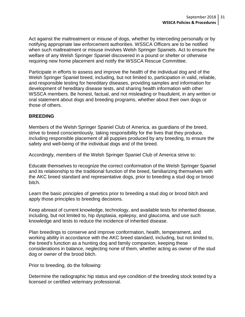Act against the maltreatment or misuse of dogs, whether by interceding personally or by notifying appropriate law enforcement authorities. WSSCA Officers are to be notified when such maltreatment or misuse involves Welsh Springer Spaniels. Act to ensure the welfare of any Welsh Springer Spaniel discovered in a pound or shelter or otherwise requiring new home placement and notify the WSSCA Rescue Committee.

Participate in efforts to assess and improve the health of the individual dog and of the Welsh Springer Spaniel breed, including, but not limited to, participation in valid, reliable, and responsible testing for hereditary diseases, providing samples and information for development of hereditary disease tests, and sharing health information with other WSSCA members. Be honest, factual, and not misleading or fraudulent, in any written or oral statement about dogs and breeding programs, whether about their own dogs or those of others.

#### **BREEDING**

Members of the Welsh Springer Spaniel Club of America, as guardians of the breed, strive to breed conscientiously, taking responsibility for the lives that they produce, including responsible placement of all puppies produced by any breeding, to ensure the safety and well-being of the individual dogs and of the breed.

Accordingly, members of the Welsh Springer Spaniel Club of America strive to:

Educate themselves to recognize the correct conformation of the Welsh Springer Spaniel and its relationship to the traditional function of the breed, familiarizing themselves with the AKC breed standard and representative dogs, prior to breeding a stud dog or brood bitch.

Learn the basic principles of genetics prior to breeding a stud dog or brood bitch and apply those principles to breeding decisions.

Keep abreast of current knowledge, technology, and available tests for inherited disease, including, but not limited to, hip dysplasia, epilepsy, and glaucoma, and use such knowledge and tests to reduce the incidence of inherited disease.

Plan breedings to conserve and improve conformation, health, temperament, and working ability in accordance with the AKC breed standard, including, but not limited to, the breed's function as a hunting dog and family companion, keeping these considerations in balance, neglecting none of them, whether acting as owner of the stud dog or owner of the brood bitch.

Prior to breeding, do the following:

Determine the radiographic hip status and eye condition of the breeding stock tested by a licensed or certified veterinary professional.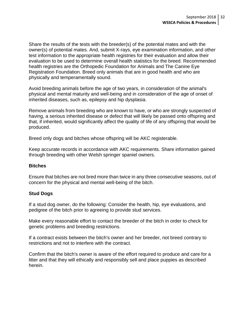Share the results of the tests with the breeder(s) of the potential mates and with the owner(s) of potential mates. And, submit X-rays, eye examination information, and other test information to the appropriate health registries for their evaluation and allow their evaluation to be used to determine overall health statistics for the breed. Recommended health registries are the Orthopedic Foundation for Animals and The Canine Eye Registration Foundation. Breed only animals that are in good health and who are physically and temperamentally sound.

Avoid breeding animals before the age of two years, in consideration of the animal's physical and mental maturity and well-being and in consideration of the age of onset of inherited diseases, such as, epilepsy and hip dysplasia.

Remove animals from breeding who are known to have, or who are strongly suspected of having, a serious inherited disease or defect that will likely be passed onto offspring and that, if inherited, would significantly affect the quality of life of any offspring that would be produced.

Breed only dogs and bitches whose offspring will be AKC registerable.

Keep accurate records in accordance with AKC requirements. Share information gained through breeding with other Welsh springer spaniel owners.

#### **Bitches**

Ensure that bitches are not bred more than twice in any three consecutive seasons, out of concern for the physical and mental well-being of the bitch.

#### **Stud Dogs**

If a stud dog owner, do the following: Consider the health, hip, eye evaluations, and pedigree of the bitch prior to agreeing to provide stud services.

Make every reasonable effort to contact the breeder of the bitch in order to check for genetic problems and breeding restrictions.

If a contract exists between the bitch's owner and her breeder, not breed contrary to restrictions and not to interfere with the contract.

Confirm that the bitch's owner is aware of the effort required to produce and care for a litter and that they will ethically and responsibly sell and place puppies as described herein.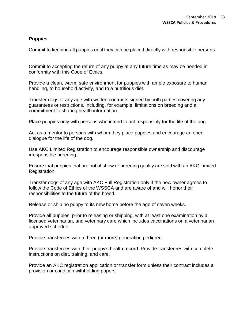#### **Puppies**

Commit to keeping all puppies until they can be placed directly with responsible persons.

Commit to accepting the return of any puppy at any future time as may be needed in conformity with this Code of Ethics.

Provide a clean, warm, safe environment for puppies with ample exposure to human handling, to household activity, and to a nutritious diet.

Transfer dogs of any age with written contracts signed by both parties covering any guarantees or restrictions, including, for example, limitations on breeding and a commitment to sharing health information.

Place puppies only with persons who intend to act responsibly for the life of the dog.

Act as a mentor to persons with whom they place puppies and encourage an open dialogue for the life of the dog.

Use AKC Limited Registration to encourage responsible ownership and discourage irresponsible breeding.

Ensure that puppies that are not of show or breeding quality are sold with an AKC Limited Registration.

Transfer dogs of any age with AKC Full Registration only if the new owner agrees to follow the Code of Ethics of the WSSCA and are aware of and will honor their responsibilities to the future of the breed.

Release or ship no puppy to its new home before the age of seven weeks.

Provide all puppies, prior to releasing or shipping, with at least one examination by a licensed veterinarian, and veterinary care which includes vaccinations on a veterinarian approved schedule.

Provide transferees with a three (or more) generation pedigree.

Provide transferees with their puppy's health record. Provide transferees with complete instructions on diet, training, and care.

Provide an AKC registration application or transfer form unless their contract includes a provision or condition withholding papers.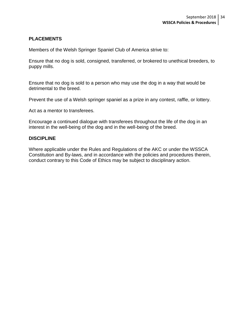#### **PLACEMENTS**

Members of the Welsh Springer Spaniel Club of America strive to:

Ensure that no dog is sold, consigned, transferred, or brokered to unethical breeders, to puppy mills.

Ensure that no dog is sold to a person who may use the dog in a way that would be detrimental to the breed.

Prevent the use of a Welsh springer spaniel as a prize in any contest, raffle, or lottery.

Act as a mentor to transferees.

Encourage a continued dialogue with transferees throughout the life of the dog in an interest in the well-being of the dog and in the well-being of the breed.

#### **DISCIPLINE**

Where applicable under the Rules and Regulations of the AKC or under the WSSCA Constitution and By-laws, and in accordance with the policies and procedures therein, conduct contrary to this Code of Ethics may be subject to disciplinary action.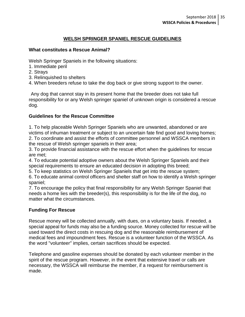#### **WELSH SPRINGER SPANIEL RESCUE GUIDELINES**

#### **What constitutes a Rescue Animal?**

Welsh Springer Spaniels in the following situations:

- 1. Immediate peril
- 2. Strays
- 3. Relinquished to shelters
- 4. When breeders refuse to take the dog back or give strong support to the owner.

Any dog that cannot stay in its present home that the breeder does not take full responsibility for or any Welsh springer spaniel of unknown origin is considered a rescue dog.

#### **Guidelines for the Rescue Committee**

1. To help placeable Welsh Springer Spaniels who are unwanted, abandoned or are victims of inhuman treatment or subject to an uncertain fate find good and loving homes; 2. To coordinate and assist the efforts of committee personnel and WSSCA members in the rescue of Welsh springer spaniels in their area;

3. To provide financial assistance with the rescue effort when the guidelines for rescue are met;

4. To educate potential adoptive owners about the Welsh Springer Spaniels and their special requirements to ensure an educated decision in adopting this breed;

5. To keep statistics on Welsh Springer Spaniels that get into the rescue system;

6. To educate animal control officers and shelter staff on how to identify a Welsh springer spaniel;

7. To encourage the policy that final responsibility for any Welsh Springer Spaniel that needs a home lies with the breeder(s), this responsibility is for the life of the dog, no matter what the circumstances.

#### **Funding For Rescue**

Rescue money will be collected annually, with dues, on a voluntary basis. If needed, a special appeal for funds may also be a funding source. Money collected for rescue will be used toward the direct costs in rescuing dog and the reasonable reimbursement of medical fees and impoundment fees. Rescue is a volunteer function of the WSSCA. As the word "volunteer" implies, certain sacrifices should be expected.

Telephone and gasoline expenses should be donated by each volunteer member in the spirit of the rescue program. However, in the event that extensive travel or calls are necessary, the WSSCA will reimburse the member, if a request for reimbursement is made.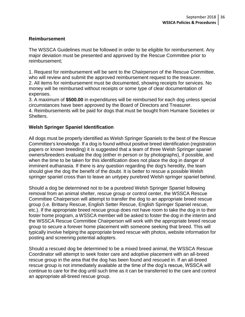#### **Reimbursement**

The WSSCA Guidelines must be followed in order to be eligible for reimbursement. Any major deviation must be presented and approved by the Rescue Committee prior to reimbursement;

1. Request for reimbursement will be sent to the Chairperson of the Rescue Committee, who will review and submit the approved reimbursement request to the treasurer. 2. All items for reimbursement must be documented, showing receipts for services. No money will be reimbursed without receipts or some type of clear documentation of expenses.

3. A maximum of **\$500.00** in expenditures will be reimbursed for each dog unless special circumstances have been approved by the Board of Directors and Treasurer. 4. Reimbursements will be paid for dogs that must be bought from Humane Societies or Shelters.

#### **Welsh Springer Spaniel Identification**

All dogs must be properly identified as Welsh Springer Spaniels to the best of the Rescue Committee's knowledge. If a dog is found without positive breed identification (registration papers or known breeding) it is suggested that a team of three Welsh Springer spaniel owners/breeders evaluate the dog (either in person or by photographs), if possible, and when the time to be taken for this identification does not place the dog in danger of imminent euthanasia. If there is any question regarding the dog's heredity, the team should give the dog the benefit of the doubt. It is better to rescue a possible Welsh springer spaniel cross than to leave an untypey purebred Welsh springer spaniel behind.

Should a dog be determined not to be a purebred Welsh Springer Spaniel following removal from an animal shelter, rescue group or control center, the WSSCA Rescue Committee Chairperson will attempt to transfer the dog to an appropriate breed rescue group (i.e. Brittany Rescue, English Setter Rescue, English Springer Spaniel rescue, etc.). If the appropriate breed rescue group does not have room to take the dog in to their foster home program, a WSSCA member will be asked to foster the dog in the interim and the WSSCA Rescue Committee Chairperson will work with the appropriate breed rescue group to secure a forever home placement with someone seeking that breed. This will typically involve helping the appropriate breed rescue with photos, website information for posting and screening potential adopters.

Should a rescued dog be determined to be a mixed breed animal, the WSSCA Rescue Coordinator will attempt to seek foster care and adoptive placement with an all-breed rescue group in the area that the dog has been found and rescued in. If an all-breed rescue group is not immediately available at the time of the dog's rescue, WSSCA will continue to care for the dog until such time as it can be transferred to the care and control an appropriate all-breed rescue group.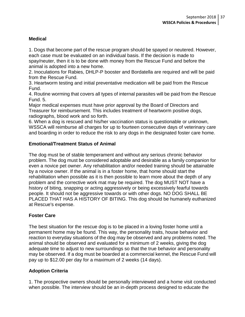#### **Medical**

1. Dogs that become part of the rescue program should be spayed or neutered. However, each case must be evaluated on an individual basis. If the decision is made to spay/neuter, then it is to be done with money from the Rescue Fund and before the animal is adopted into a new home.

2. Inoculations for Rabies, DHLP-P booster and Bordatella are required and will be paid from the Rescue Fund.

3. Heartworm testing and initial preventative medication will be paid from the Rescue Fund.

4. Routine worming that covers all types of internal parasites will be paid from the Rescue Fund. 5.

Major medical expenses must have prior approval by the Board of Directors and Treasurer for reimbursement. This includes treatment of heartworm positive dogs, radiographs, blood work and so forth.

6. When a dog is rescued and his/her vaccination status is questionable or unknown, WSSCA will reimburse all charges for up to fourteen consecutive days of veterinary care and boarding in order to reduce the risk to any dogs in the designated foster care home.

#### **Emotional/Treatment Status of Animal**

The dog must be of stable temperament and without any serious chronic behavior problem. The dog must be considered adoptable and desirable as a family companion for even a novice pet owner. Any rehabilitation and/or needed training should be attainable by a novice owner. If the animal is in a foster home, that home should start the rehabilitation when possible as it is then possible to learn more about the depth of any problem and the corrective work mat may be required. The dog MUST NOT have a history of biting, snapping or acting aggressively or being excessively fearful towards people. It should not be aggressive towards or with other dogs. NO DOG SHALL BE PLACED THAT HAS A HISTORY OF BITING. This dog should be humanely euthanized at Rescue's expense.

#### **Foster Care**

The best situation for the rescue dog is to be placed in a loving foster home until a permanent home may be found. This way, the personality traits, house behavior and reaction to everyday situations of the dog may be observed and any problems noted. The animal should be observed and evaluated for a minimum of 2 weeks, giving the dog adequate time to adjust to new surroundings so that the true behavior and personality may be observed. If a dog must be boarded at a commercial kennel, the Rescue Fund will pay up to \$12.00 per day for a maximum of 2 weeks (14 days).

#### **Adoption Criteria**

1. The prospective owners should be personally interviewed and a home visit conducted when possible. The interview should be an in-depth process designed to educate the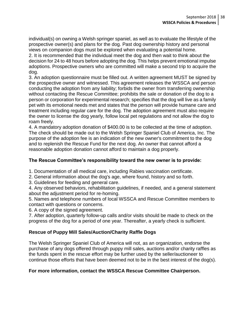individual(s) on owning a Welsh springer spaniel, as well as to evaluate the lifestyle of the prospective owner(s) and plans for the dog. Past dog ownership history and personal views on companion dogs must be explored when evaluating a potential home.

2. It is recommended that the individual meet the dog and then wait to think about the decision for 24 to 48 hours before adopting the dog. This helps prevent emotional impulse adoptions. Prospective owners who are committed will make a second trip to acquire the dog.

3. An adoption questionnaire must be filled out. A written agreement MUST be signed by the prospective owner and witnessed. This agreement releases the WSSCA and person conducting the adoption from any liability; forbids the owner from transferring ownership without contacting the Rescue Committee; prohibits the sale or donation of the dog to a person or corporation for experimental research; specifies that the dog will live as a family pet with its emotional needs met and states that the person will provide humane care and treatment including regular care for the dog. The adoption agreement must also require the owner to license the dog yearly, follow local pet regulations and not allow the dog to roam freely.

4. A mandatory adoption donation of \$400.00 is to be collected at the time of adoption. The check should be made out to the Welsh Springer Spaniel Club of America, Inc. The purpose of the adoption fee is an indication of the new owner's commitment to the dog and to replenish the Rescue Fund for the next dog. An owner that cannot afford a reasonable adoption donation cannot afford to maintain a dog properly.

#### **The Rescue Committee's responsibility toward the new owner is to provide:**

1. Documentation of all medical care, including Rabies vaccination certificate.

- 2. General information about the dog's age, where found, history and so forth.
- 3. Guidelines for feeding and general care.

4. Any observed behaviors, rehabilitation guidelines, if needed, and a general statement about the adjustment period for re-homing.

5. Names and telephone numbers of local WSSCA and Rescue Committee members to contact with questions or concerns.

6. A copy of the signed agreement.

7. After adoption, quarterly follow-up calls and/or visits should be made to check on the progress of the dog for a period of one year. Thereafter, a yearly check is sufficient.

#### **Rescue of Puppy Mill Sales/Auction/Charity Raffle Dogs**

The Welsh Springer Spaniel Club of America will not, as an organization, endorse the purchase of any dogs offered through puppy mill sales, auctions and/or charity raffles as the funds spent in the rescue effort may be further used by the seller/auctioneer to continue those efforts that have been deemed not to be in the best interest of the dog(s).

#### **For more information, contact the WSSCA Rescue Committee Chairperson.**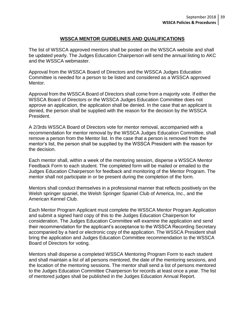#### **WSSCA MENTOR GUIDELINES AND QUALIFICATIONS**

The list of WSSCA approved mentors shall be posted on the WSSCA website and shall be updated yearly. The Judges Education Chairperson will send the annual listing to AKC and the WSSCA webmaster.

Approval from the WSSCA Board of Directors and the WSSCA Judges Education Committee is needed for a person to be listed and considered as a WSSCA approved Mentor.

Approval from the WSSCA Board of Directors shall come from a majority vote. If either the WSSCA Board of Directors or the WSSCA Judges Education Committee does not approve an application, the application shall be denied. In the case that an applicant is denied, the person shall be supplied with the reason for the decision by the WSSCA President.

A 2/3rds WSSCA Board of Directors vote for mentor removal, accompanied with a recommendation for mentor removal by the WSSCA Judges Education Committee, shall remove a person from the Mentor list. In the case that a person is removed from the mentor's list, the person shall be supplied by the WSSCA President with the reason for the decision.

Each mentor shall, within a week of the mentoring session, disperse a WSSCA Mentor Feedback Form to each student. The completed form will be mailed or emailed to the Judges Education Chairperson for feedback and monitoring of the Mentor Program. The mentor shall not participate in or be present during the completion of the form.

Mentors shall conduct themselves in a professional manner that reflects positively on the Welsh springer spaniel, the Welsh Springer Spaniel Club of America, Inc., and the American Kennel Club.

Each Mentor Program Applicant must complete the WSSCA Mentor Program Application and submit a signed hard copy of this to the Judges Education Chairperson for consideration. The Judges Education Committee will examine the application and send their recommendation for the applicant's acceptance to the WSSCA Recording Secretary accompanied by a hard or electronic copy of the application. The WSSCA President shall bring the application and Judges Education Committee recommendation to the WSSCA Board of Directors for voting.

Mentors shall disperse a completed WSSCA Mentoring Program Form to each student and shall maintain a list of all persons mentored, the date of the mentoring sessions, and the location of the mentoring sessions. The mentor shall send a list of persons mentored to the Judges Education Committee Chairperson for records at least once a year. The list of mentored judges shall be published in the Judges Education Annual Report.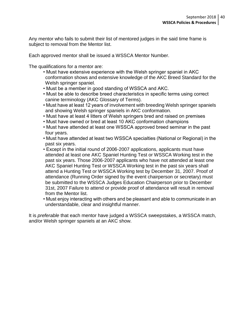Any mentor who fails to submit their list of mentored judges in the said time frame is subject to removal from the Mentor list.

Each approved mentor shall be issued a WSSCA Mentor Number.

The qualifications for a mentor are:

- Must have extensive experience with the Welsh springer spaniel in AKC conformation shows and extensive knowledge of the AKC Breed Standard for the Welsh springer spaniel.
- Must be a member in good standing of WSSCA and AKC.
- Must be able to describe breed characteristics in specific terms using correct canine terminology (AKC Glossary of Terms).
- Must have at least 12 years of involvement with breeding Welsh springer spaniels and showing Welsh springer spaniels in AKC conformation.
- Must have at least 4 litters of Welsh springers bred and raised on premises
- Must have owned or bred at least 10 AKC conformation champions
- Must have attended at least one WSSCA approved breed seminar in the past four years.
- Must have attended at least two WSSCA specialties (National or Regional) in the past six years.
- Except in the initial round of 2006-2007 applications, applicants must have attended at least one AKC Spaniel Hunting Test or WSSCA Working test in the past six years. Those 2006-2007 applicants who have not attended at least one AKC Spaniel Hunting Test or WSSCA Working test in the past six years shall attend a Hunting Test or WSSCA Working test by December 31, 2007. Proof of attendance (Running Order signed by the event chairperson or secretary) must be submitted to the WSSCA Judges Education Chairperson prior to December 31st, 2007 Failure to attend or provide proof of attendance will result in removal from the Mentor list.
- Must enjoy interacting with others and be pleasant and able to communicate in an understandable, clear and insightful manner.

It is *preferable* that each mentor have judged a WSSCA sweepstakes, a WSSCA match, and/or Welsh springer spaniels at an AKC show.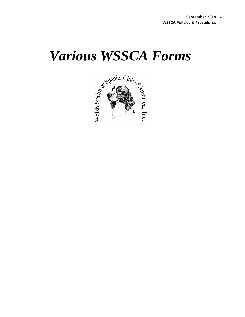# *Various WSSCA Forms*

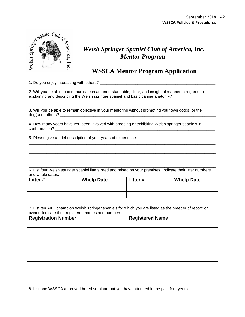

## *Welsh Springer Spaniel Club of America, Inc. Mentor Program*

## **WSSCA Mentor Program Application**

1. Do you enjoy interacting with others? \_\_\_\_\_\_\_\_\_\_\_\_\_\_\_\_\_\_\_\_\_\_\_\_\_\_\_\_\_\_\_\_\_\_\_\_\_\_\_\_\_\_\_\_\_\_\_\_\_\_\_\_

2. Will you be able to communicate in an understandable, clear, and insightful manner in regards to explaining and describing the Welsh springer spaniel and basic canine anatomy?

\_\_\_\_\_\_\_\_\_\_\_\_\_\_\_\_\_\_\_\_\_\_\_\_\_\_\_\_\_\_\_\_\_\_\_\_\_\_\_\_\_\_\_\_\_\_\_\_\_\_\_\_\_\_\_\_\_\_\_\_\_\_\_\_\_\_\_\_\_\_\_\_\_\_\_\_\_\_\_\_\_\_\_\_

\_\_\_\_\_\_\_\_\_\_\_\_\_\_\_\_\_\_\_\_\_\_\_\_\_\_\_\_\_\_\_\_\_\_\_\_\_\_\_\_\_\_\_\_\_\_\_\_\_\_\_\_\_\_\_\_\_\_\_\_\_\_\_\_\_\_\_\_\_\_\_\_\_\_\_\_\_\_\_\_\_\_\_\_ \_\_\_\_\_\_\_\_\_\_\_\_\_\_\_\_\_\_\_\_\_\_\_\_\_\_\_\_\_\_\_\_\_\_\_\_\_\_\_\_\_\_\_\_\_\_\_\_\_\_\_\_\_\_\_\_\_\_\_\_\_\_\_\_\_\_\_\_\_\_\_\_\_\_\_\_\_\_\_\_\_\_\_\_ \_\_\_\_\_\_\_\_\_\_\_\_\_\_\_\_\_\_\_\_\_\_\_\_\_\_\_\_\_\_\_\_\_\_\_\_\_\_\_\_\_\_\_\_\_\_\_\_\_\_\_\_\_\_\_\_\_\_\_\_\_\_\_\_\_\_\_\_\_\_\_\_\_\_\_\_\_\_\_\_\_\_\_\_ \_\_\_\_\_\_\_\_\_\_\_\_\_\_\_\_\_\_\_\_\_\_\_\_\_\_\_\_\_\_\_\_\_\_\_\_\_\_\_\_\_\_\_\_\_\_\_\_\_\_\_\_\_\_\_\_\_\_\_\_\_\_\_\_\_\_\_\_\_\_\_\_\_\_\_\_\_\_\_\_\_\_\_\_ \_\_\_\_\_\_\_\_\_\_\_\_\_\_\_\_\_\_\_\_\_\_\_\_\_\_\_\_\_\_\_\_\_\_\_\_\_\_\_\_\_\_\_\_\_\_\_\_\_\_\_\_\_\_\_\_\_\_\_\_\_\_\_\_\_\_\_\_\_\_\_\_\_\_\_\_\_\_\_\_\_\_\_\_

3. Will you be able to remain objective in your mentoring without promoting your own dog(s) or the  $dog(s)$  of others?

4. How many years have you been involved with breeding or exhibiting Welsh springer spaniels in conformation? \_\_\_\_\_\_\_\_\_\_\_\_\_\_\_\_\_\_\_\_\_\_\_\_\_\_\_\_\_\_\_\_\_\_\_\_\_\_\_\_\_\_\_\_\_\_\_\_\_\_\_\_\_\_\_\_\_\_\_\_\_\_\_\_\_\_\_\_\_\_\_\_

5. Please give a brief description of your years of experience:

\_\_\_\_\_\_\_\_\_\_\_\_\_\_\_\_\_\_\_\_\_\_\_\_\_\_\_\_\_\_\_\_\_\_\_\_\_\_\_\_\_\_\_\_\_\_\_\_\_\_\_\_\_\_\_\_\_\_\_\_\_\_\_\_\_\_\_\_\_\_\_\_\_\_\_\_\_\_\_\_\_\_\_\_ 6. List four Welsh springer spaniel litters bred and raised on your premises. Indicate their litter numbers and whelp dates.

| Litter # | <b>Whelp Date</b> | Litter# | <b>Whelp Date</b> |
|----------|-------------------|---------|-------------------|
|          |                   |         |                   |
|          |                   |         |                   |

7. List ten AKC champion Welsh springer spaniels for which you are listed as the breeder of record or owner. Indicate their registered names and numbers.

| <b>Registration Number</b> | <b>Registered Name</b> |
|----------------------------|------------------------|
|                            |                        |
|                            |                        |
|                            |                        |
|                            |                        |
|                            |                        |
|                            |                        |
|                            |                        |
|                            |                        |
|                            |                        |
|                            |                        |

8. List one WSSCA approved breed seminar that you have attended in the past four years.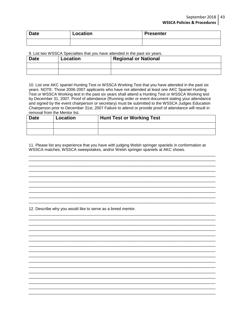#### September 2018 | 43 **WSSCA Policies & Procedures**

| <b>Date</b> | Location | <b>Presenter</b> |
|-------------|----------|------------------|
|             |          |                  |

#### 9. List two WSSCA Specialties that you have attended in the past six years.

| <b>Date</b> | <b>Location</b> | <b>Regional or National</b> |
|-------------|-----------------|-----------------------------|
|             |                 |                             |
|             |                 |                             |

10. List one AKC spaniel Hunting Test or WSSCA Working Test that you have attended in the past six years. NOTE: Those 2006-2007 applicants who have not attended at least one AKC Spaniel Hunting Test or WSSCA Working test in the past six years shall attend a Hunting Test or WSSCA Working test by December 31, 2007. Proof of attendance (Running order or event document stating your attendance and signed by the event chairperson or secretary) must be submitted to the WSSCA Judges Education Chairperson prior to December 31st, 2007 Failure to attend or provide proof of attendance will result in removal from the Mentor list.

| <b>Date</b> | Location | <b>Hunt Test or Working Test</b> |
|-------------|----------|----------------------------------|
|             |          |                                  |
|             |          |                                  |

11. Please list any experience that you have with judging Welsh springer spaniels in conformation at WSSCA matches, WSSCA sweepstakes, and/or Welsh springer spaniels at AKC shows.

12. Describe why you would like to serve as a breed mentor.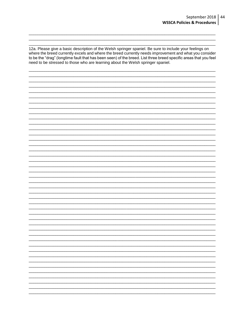12a. Please give a basic description of the Welsh springer spaniel. Be sure to include your feelings on where the breed currently excels and where the breed currently needs improvement and what you consider to be the "drag" (longtime fault that has been seen) of the breed. List three breed specific areas that you feel need to be stressed to those who are learning about the Welsh springer spaniel.

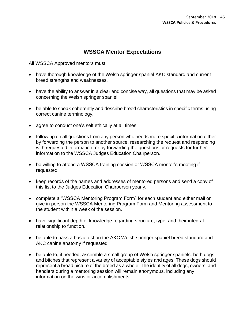#### **WSSCA Mentor Expectations**

\_\_\_\_\_\_\_\_\_\_\_\_\_\_\_\_\_\_\_\_\_\_\_\_\_\_\_\_\_\_\_\_\_\_\_\_\_\_\_\_\_\_\_\_\_\_\_\_\_\_\_\_\_\_\_\_\_\_\_\_\_\_\_\_\_\_\_\_\_\_\_\_\_\_\_\_\_\_\_\_\_\_\_\_ \_\_\_\_\_\_\_\_\_\_\_\_\_\_\_\_\_\_\_\_\_\_\_\_\_\_\_\_\_\_\_\_\_\_\_\_\_\_\_\_\_\_\_\_\_\_\_\_\_\_\_\_\_\_\_\_\_\_\_\_\_\_\_\_\_\_\_\_\_\_\_\_\_\_\_\_\_\_\_\_\_\_\_\_

All WSSCA Approved mentors must:

- have thorough knowledge of the Welsh springer spaniel AKC standard and current breed strengths and weaknesses.
- have the ability to answer in a clear and concise way, all questions that may be asked concerning the Welsh springer spaniel.
- be able to speak coherently and describe breed characteristics in specific terms using correct canine terminology.
- agree to conduct one's self ethically at all times.
- follow up on all questions from any person who needs more specific information either by forwarding the person to another source, researching the request and responding with requested information, or by forwarding the questions or requests for further information to the WSSCA Judges Education Chairperson.
- be willing to attend a WSSCA training session or WSSCA mentor's meeting if requested.
- keep records of the names and addresses of mentored persons and send a copy of this list to the Judges Education Chairperson yearly.
- complete a "WSSCA Mentoring Program Form" for each student and either mail or give in person the WSSCA Mentoring Program Form and Mentoring assessment to the student within a week of the session.
- have significant depth of knowledge regarding structure, type, and their integral relationship to function.
- be able to pass a basic test on the AKC Welsh springer spaniel breed standard and AKC canine anatomy if requested.
- be able to, if needed, assemble a small group of Welsh springer spaniels, both dogs and bitches that represent a variety of acceptable styles and ages. These dogs should represent a broad picture of the breed as a whole. The identity of all dogs, owners, and handlers during a mentoring session will remain anonymous, including any information on the wins or accomplishments.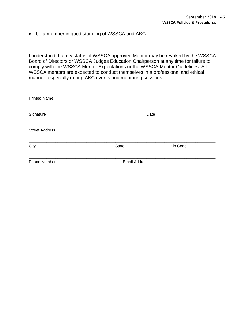be a member in good standing of WSSCA and AKC.

I understand that my status of WSSCA approved Mentor may be revoked by the WSSCA Board of Directors or WSSCA Judges Education Chairperson at any time for failure to comply with the WSSCA Mentor Expectations or the WSSCA Mentor Guidelines. All WSSCA mentors are expected to conduct themselves in a professional and ethical manner, especially during AKC events and mentoring sessions.

| <b>Printed Name</b>   |                      |          |
|-----------------------|----------------------|----------|
| Signature             |                      | Date     |
| <b>Street Address</b> |                      |          |
| City                  | <b>State</b>         | Zip Code |
| <b>Phone Number</b>   | <b>Email Address</b> |          |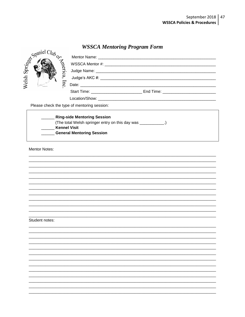## **WSSCA Mentoring Program Form**

|       |                                             | $1.88$ $0.22$ $0.23$ $0.000$ $0.000$ $0.000$ $0.000$ $0.000$                                                                                                                                                                   |
|-------|---------------------------------------------|--------------------------------------------------------------------------------------------------------------------------------------------------------------------------------------------------------------------------------|
| Welsh | Spaniel Club or                             |                                                                                                                                                                                                                                |
|       |                                             |                                                                                                                                                                                                                                |
|       |                                             |                                                                                                                                                                                                                                |
|       |                                             | Location/Show: Note that the state of the state of the state of the state of the state of the state of the state of the state of the state of the state of the state of the state of the state of the state of the state of th |
|       | Please check the type of mentoring session: |                                                                                                                                                                                                                                |

| <b>Ring-side Mentoring Session</b>                    |
|-------------------------------------------------------|
| (The total Welsh springer entry on this day was _____ |
| <b>Kennel Visit</b>                                   |
| <b>General Mentoring Session</b>                      |

**Mentor Notes:** 

#### Student notes: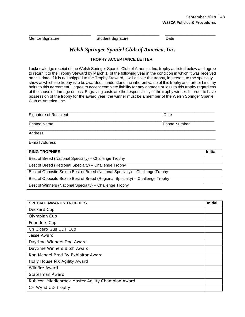Mentor Signature **Student Signature** Date

#### *Welsh Springer Spaniel Club of America, Inc.*

\_\_\_\_\_\_\_\_\_\_\_\_\_\_\_\_\_\_\_\_\_\_\_\_\_\_ \_\_\_\_\_\_\_\_\_\_\_\_\_\_\_\_\_\_\_\_\_\_\_\_\_\_ \_\_\_\_\_\_\_\_\_\_\_\_\_\_\_\_\_\_\_\_\_

#### **TROPHY ACCEPTANCE LETTER**

I acknowledge receipt of the Welsh Springer Spaniel Club of America, Inc. trophy as listed below and agree to return it to the Trophy Steward by March 1, of the following year in the condition in which it was received on this date. If it is not shipped to the Trophy Steward, I will deliver the trophy, in person, to the specialty show at which the trophy is to be awarded. I understand the inherent value of this trophy and further bind my heirs to this agreement. I agree to accept complete liability for any damage or loss to this trophy regardless of the cause of damage or loss. Engraving costs are the responsibility of the trophy winner. In order to have possession of the trophy for the award year, the winner must be a member of the Welsh Springer Spaniel Club of America, Inc.

| Signature of Recipient | Date                |
|------------------------|---------------------|
| <b>Printed Name</b>    | <b>Phone Number</b> |

Address

\_\_\_\_\_\_\_\_\_\_\_\_\_\_\_\_\_\_\_\_\_\_\_\_\_\_\_\_\_\_\_\_\_\_\_\_\_\_\_\_\_\_\_\_\_\_\_\_\_\_\_\_\_\_\_\_\_\_\_\_\_\_\_\_\_\_\_\_\_\_\_\_\_\_\_\_\_\_\_\_\_\_\_\_ E-mail Address

| <b>RING TROPHIES</b>                                                          | <b>Initial</b> |
|-------------------------------------------------------------------------------|----------------|
| Best of Breed (National Specialty) – Challenge Trophy                         |                |
| Best of Breed (Regional Specialty) – Challenge Trophy                         |                |
| Best of Opposite Sex to Best of Breed (National Specialty) – Challenge Trophy |                |
| Best of Opposite Sex to Best of Breed (Regional Specialty) – Challenge Trophy |                |
| Best of Winners (National Specialty) – Challenge Trophy                       |                |

| <b>SPECIAL AWARDS TROPHIES</b>                    | <b>Initial</b> |
|---------------------------------------------------|----------------|
| Deckard Cup                                       |                |
| Olympian Cup                                      |                |
| Founders Cup                                      |                |
| Ch Cicero Gus UDT Cup                             |                |
| Jesse Award                                       |                |
| Daytime Winners Dog Award                         |                |
| Daytime Winners Bitch Award                       |                |
| Ron Mengel Bred By Exhibitor Award                |                |
| Holly House MX Agility Award                      |                |
| <b>Wildfire Award</b>                             |                |
| Statesman Award                                   |                |
| Rubicon-Middlebrook Master Agility Champion Award |                |
| CH Wynd UD Trophy                                 |                |